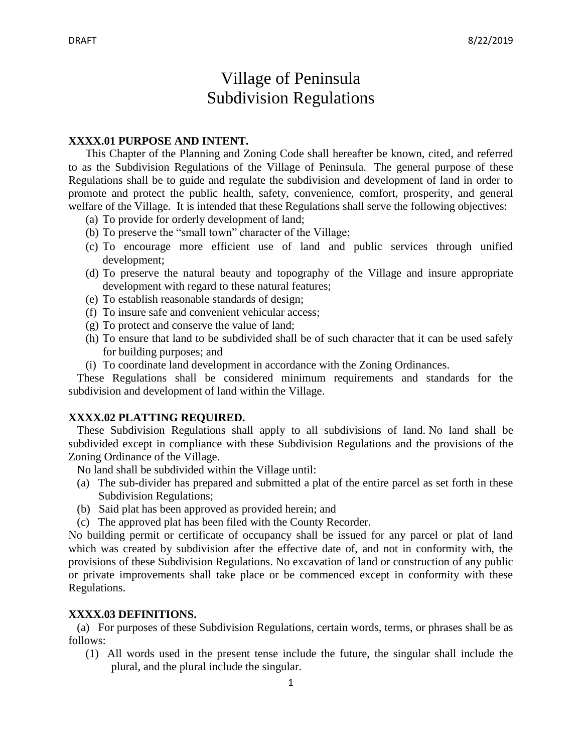# Village of Peninsula Subdivision Regulations

#### **XXXX.01 PURPOSE AND INTENT.**

This Chapter of the Planning and Zoning Code shall hereafter be known, cited, and referred to as the Subdivision Regulations of the Village of Peninsula. The general purpose of these Regulations shall be to guide and regulate the subdivision and development of land in order to promote and protect the public health, safety, convenience, comfort, prosperity, and general welfare of the Village. It is intended that these Regulations shall serve the following objectives:

- (a) To provide for orderly development of land;
- (b) To preserve the "small town" character of the Village;
- (c) To encourage more efficient use of land and public services through unified development;
- (d) To preserve the natural beauty and topography of the Village and insure appropriate development with regard to these natural features;
- (e) To establish reasonable standards of design;
- (f) To insure safe and convenient vehicular access;
- (g) To protect and conserve the value of land;
- (h) To ensure that land to be subdivided shall be of such character that it can be used safely for building purposes; and
- (i) To coordinate land development in accordance with the Zoning Ordinances.

 These Regulations shall be considered minimum requirements and standards for the subdivision and development of land within the Village.

#### **XXXX.02 PLATTING REQUIRED.**

 These Subdivision Regulations shall apply to all subdivisions of land. No land shall be subdivided except in compliance with these Subdivision Regulations and the provisions of the Zoning Ordinance of the Village.

No land shall be subdivided within the Village until:

- (a) The sub-divider has prepared and submitted a plat of the entire parcel as set forth in these Subdivision Regulations;
- (b) Said plat has been approved as provided herein; and
- (c) The approved plat has been filed with the County Recorder.

No building permit or certificate of occupancy shall be issued for any parcel or plat of land which was created by subdivision after the effective date of, and not in conformity with, the provisions of these Subdivision Regulations. No excavation of land or construction of any public or private improvements shall take place or be commenced except in conformity with these Regulations.

#### **XXXX.03 DEFINITIONS.**

 (a) For purposes of these Subdivision Regulations, certain words, terms, or phrases shall be as follows:

 (1) All words used in the present tense include the future, the singular shall include the plural, and the plural include the singular.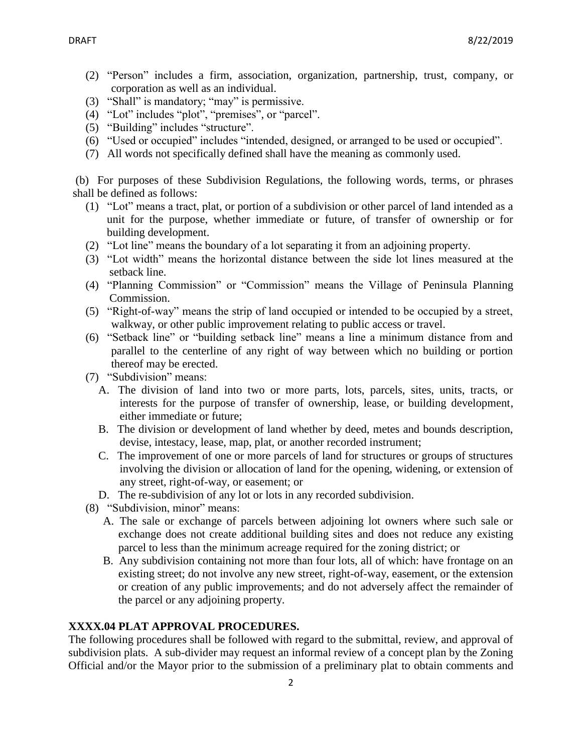- (2) "Person" includes a firm, association, organization, partnership, trust, company, or corporation as well as an individual.
- (3) "Shall" is mandatory; "may" is permissive.
- (4) "Lot" includes "plot", "premises", or "parcel".
- (5) "Building" includes "structure".
- (6) "Used or occupied" includes "intended, designed, or arranged to be used or occupied".
- (7) All words not specifically defined shall have the meaning as commonly used.

(b) For purposes of these Subdivision Regulations, the following words, terms, or phrases shall be defined as follows:

- (1) "Lot" means a tract, plat, or portion of a subdivision or other parcel of land intended as a unit for the purpose, whether immediate or future, of transfer of ownership or for building development.
- (2) "Lot line" means the boundary of a lot separating it from an adjoining property.
- (3) "Lot width" means the horizontal distance between the side lot lines measured at the setback line.
- (4) "Planning Commission" or "Commission" means the Village of Peninsula Planning Commission.
- (5) "Right-of-way" means the strip of land occupied or intended to be occupied by a street, walkway, or other public improvement relating to public access or travel.
- (6) "Setback line" or "building setback line" means a line a minimum distance from and parallel to the centerline of any right of way between which no building or portion thereof may be erected.
- (7) "Subdivision" means:
	- A. The division of land into two or more parts, lots, parcels, sites, units, tracts, or interests for the purpose of transfer of ownership, lease, or building development, either immediate or future;
	- B. The division or development of land whether by deed, metes and bounds description, devise, intestacy, lease, map, plat, or another recorded instrument;
	- C. The improvement of one or more parcels of land for structures or groups of structures involving the division or allocation of land for the opening, widening, or extension of any street, right-of-way, or easement; or
	- D. The re-subdivision of any lot or lots in any recorded subdivision.
- (8) "Subdivision, minor" means:
	- A. The sale or exchange of parcels between adjoining lot owners where such sale or exchange does not create additional building sites and does not reduce any existing parcel to less than the minimum acreage required for the zoning district; or
	- B. Any subdivision containing not more than four lots, all of which: have frontage on an existing street; do not involve any new street, right-of-way, easement, or the extension or creation of any public improvements; and do not adversely affect the remainder of the parcel or any adjoining property.

# **XXXX.04 PLAT APPROVAL PROCEDURES.**

The following procedures shall be followed with regard to the submittal, review, and approval of subdivision plats. A sub-divider may request an informal review of a concept plan by the Zoning Official and/or the Mayor prior to the submission of a preliminary plat to obtain comments and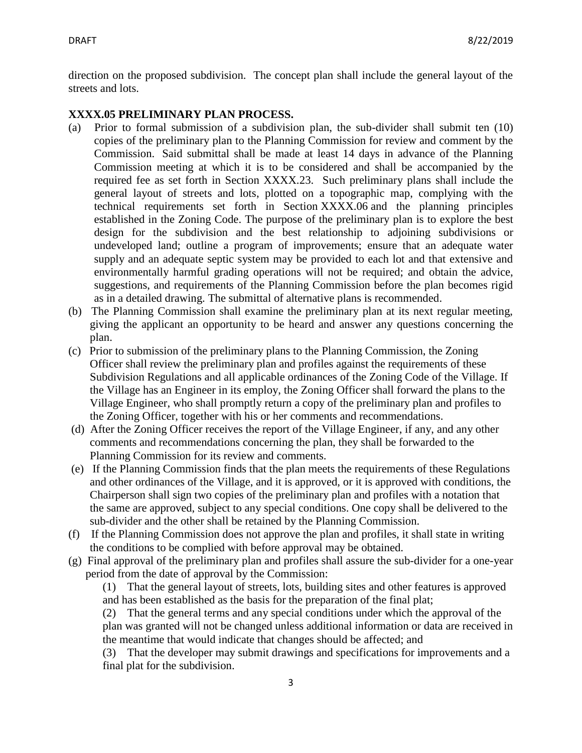direction on the proposed subdivision. The concept plan shall include the general layout of the streets and lots.

### **XXXX.05 PRELIMINARY PLAN PROCESS.**

- (a) Prior to formal submission of a subdivision plan, the sub-divider shall submit ten (10) copies of the preliminary plan to the Planning Commission for review and comment by the Commission. Said submittal shall be made at least 14 days in advance of the Planning Commission meeting at which it is to be considered and shall be accompanied by the required fee as set forth in Section XXXX.23. Such preliminary plans shall include the general layout of streets and lots, plotted on a topographic map, complying with the technical requirements set forth in Section XXXX.06 and the planning principles established in the Zoning Code. The purpose of the preliminary plan is to explore the best design for the subdivision and the best relationship to adjoining subdivisions or undeveloped land; outline a program of improvements; ensure that an adequate water supply and an adequate septic system may be provided to each lot and that extensive and environmentally harmful grading operations will not be required; and obtain the advice, suggestions, and requirements of the Planning Commission before the plan becomes rigid as in a detailed drawing. The submittal of alternative plans is recommended.
- (b) The Planning Commission shall examine the preliminary plan at its next regular meeting, giving the applicant an opportunity to be heard and answer any questions concerning the plan.
- (c) Prior to submission of the preliminary plans to the Planning Commission, the Zoning Officer shall review the preliminary plan and profiles against the requirements of these Subdivision Regulations and all applicable ordinances of the Zoning Code of the Village. If the Village has an Engineer in its employ, the Zoning Officer shall forward the plans to the Village Engineer, who shall promptly return a copy of the preliminary plan and profiles to the Zoning Officer, together with his or her comments and recommendations.
- (d) After the Zoning Officer receives the report of the Village Engineer, if any, and any other comments and recommendations concerning the plan, they shall be forwarded to the Planning Commission for its review and comments.
- (e) If the Planning Commission finds that the plan meets the requirements of these Regulations and other ordinances of the Village, and it is approved, or it is approved with conditions, the Chairperson shall sign two copies of the preliminary plan and profiles with a notation that the same are approved, subject to any special conditions. One copy shall be delivered to the sub-divider and the other shall be retained by the Planning Commission.
- (f) If the Planning Commission does not approve the plan and profiles, it shall state in writing the conditions to be complied with before approval may be obtained.
- (g) Final approval of the preliminary plan and profiles shall assure the sub-divider for a one-year period from the date of approval by the Commission:

(1) That the general layout of streets, lots, building sites and other features is approved and has been established as the basis for the preparation of the final plat;

(2) That the general terms and any special conditions under which the approval of the plan was granted will not be changed unless additional information or data are received in the meantime that would indicate that changes should be affected; and

(3) That the developer may submit drawings and specifications for improvements and a final plat for the subdivision.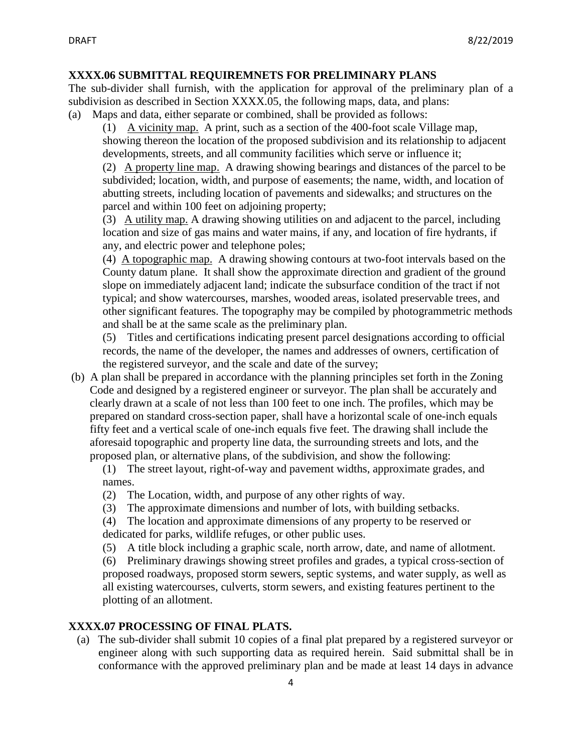# **XXXX.06 SUBMITTAL REQUIREMNETS FOR PRELIMINARY PLANS**

The sub-divider shall furnish, with the application for approval of the preliminary plan of a subdivision as described in Section XXXX.05, the following maps, data, and plans:

(a) Maps and data, either separate or combined, shall be provided as follows:

(1) A vicinity map. A print, such as a section of the 400-foot scale Village map, showing thereon the location of the proposed subdivision and its relationship to adjacent developments, streets, and all community facilities which serve or influence it;

(2) A property line map. A drawing showing bearings and distances of the parcel to be subdivided; location, width, and purpose of easements; the name, width, and location of abutting streets, including location of pavements and sidewalks; and structures on the parcel and within 100 feet on adjoining property;

(3) A utility map. A drawing showing utilities on and adjacent to the parcel, including location and size of gas mains and water mains, if any, and location of fire hydrants, if any, and electric power and telephone poles;

(4) A topographic map. A drawing showing contours at two-foot intervals based on the County datum plane. It shall show the approximate direction and gradient of the ground slope on immediately adjacent land; indicate the subsurface condition of the tract if not typical; and show watercourses, marshes, wooded areas, isolated preservable trees, and other significant features. The topography may be compiled by photogrammetric methods and shall be at the same scale as the preliminary plan.

(5) Titles and certifications indicating present parcel designations according to official records, the name of the developer, the names and addresses of owners, certification of the registered surveyor, and the scale and date of the survey;

(b) A plan shall be prepared in accordance with the planning principles set forth in the Zoning Code and designed by a registered engineer or surveyor. The plan shall be accurately and clearly drawn at a scale of not less than 100 feet to one inch. The profiles, which may be prepared on standard cross-section paper, shall have a horizontal scale of one-inch equals fifty feet and a vertical scale of one-inch equals five feet. The drawing shall include the aforesaid topographic and property line data, the surrounding streets and lots, and the proposed plan, or alternative plans, of the subdivision, and show the following:

(1) The street layout, right-of-way and pavement widths, approximate grades, and names.

- (2) The Location, width, and purpose of any other rights of way.
- (3) The approximate dimensions and number of lots, with building setbacks.

(4) The location and approximate dimensions of any property to be reserved or dedicated for parks, wildlife refuges, or other public uses.

(5) A title block including a graphic scale, north arrow, date, and name of allotment.

(6) Preliminary drawings showing street profiles and grades, a typical cross-section of proposed roadways, proposed storm sewers, septic systems, and water supply, as well as all existing watercourses, culverts, storm sewers, and existing features pertinent to the plotting of an allotment.

# **XXXX.07 PROCESSING OF FINAL PLATS.**

 (a) The sub-divider shall submit 10 copies of a final plat prepared by a registered surveyor or engineer along with such supporting data as required herein. Said submittal shall be in conformance with the approved preliminary plan and be made at least 14 days in advance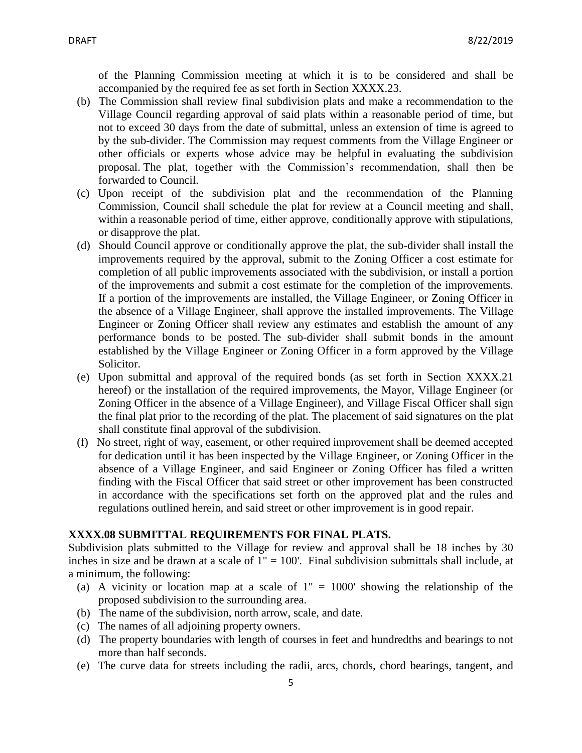of the Planning Commission meeting at which it is to be considered and shall be accompanied by the required fee as set forth in Section XXXX.23.

- (b) The Commission shall review final subdivision plats and make a recommendation to the Village Council regarding approval of said plats within a reasonable period of time, but not to exceed 30 days from the date of submittal, unless an extension of time is agreed to by the sub-divider. The Commission may request comments from the Village Engineer or other officials or experts whose advice may be helpful in evaluating the subdivision proposal. The plat, together with the Commission's recommendation, shall then be forwarded to Council.
- (c) Upon receipt of the subdivision plat and the recommendation of the Planning Commission, Council shall schedule the plat for review at a Council meeting and shall, within a reasonable period of time, either approve, conditionally approve with stipulations, or disapprove the plat.
- (d) Should Council approve or conditionally approve the plat, the sub-divider shall install the improvements required by the approval, submit to the Zoning Officer a cost estimate for completion of all public improvements associated with the subdivision, or install a portion of the improvements and submit a cost estimate for the completion of the improvements. If a portion of the improvements are installed, the Village Engineer, or Zoning Officer in the absence of a Village Engineer, shall approve the installed improvements. The Village Engineer or Zoning Officer shall review any estimates and establish the amount of any performance bonds to be posted. The sub-divider shall submit bonds in the amount established by the Village Engineer or Zoning Officer in a form approved by the Village Solicitor.
- (e) Upon submittal and approval of the required bonds (as set forth in Section XXXX.21 hereof) or the installation of the required improvements, the Mayor, Village Engineer (or Zoning Officer in the absence of a Village Engineer), and Village Fiscal Officer shall sign the final plat prior to the recording of the plat. The placement of said signatures on the plat shall constitute final approval of the subdivision.
- (f) No street, right of way, easement, or other required improvement shall be deemed accepted for dedication until it has been inspected by the Village Engineer, or Zoning Officer in the absence of a Village Engineer, and said Engineer or Zoning Officer has filed a written finding with the Fiscal Officer that said street or other improvement has been constructed in accordance with the specifications set forth on the approved plat and the rules and regulations outlined herein, and said street or other improvement is in good repair.

#### **XXXX.08 SUBMITTAL REQUIREMENTS FOR FINAL PLATS.**

Subdivision plats submitted to the Village for review and approval shall be 18 inches by 30 inches in size and be drawn at a scale of  $1'' = 100'$ . Final subdivision submittals shall include, at a minimum, the following:

- (a) A vicinity or location map at a scale of  $1'' = 1000'$  showing the relationship of the proposed subdivision to the surrounding area.
- (b) The name of the subdivision, north arrow, scale, and date.
- (c) The names of all adjoining property owners.
- (d) The property boundaries with length of courses in feet and hundredths and bearings to not more than half seconds.
- (e) The curve data for streets including the radii, arcs, chords, chord bearings, tangent, and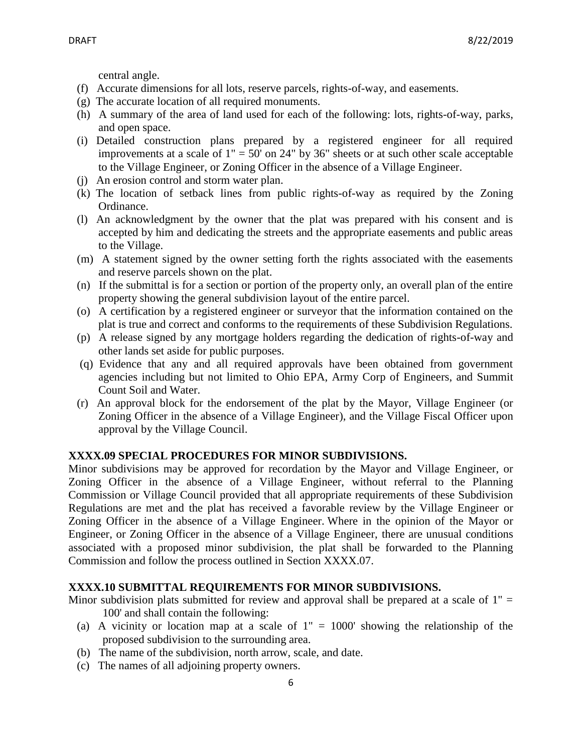central angle.

- (f) Accurate dimensions for all lots, reserve parcels, rights-of-way, and easements.
- (g) The accurate location of all required monuments.
- (h) A summary of the area of land used for each of the following: lots, rights-of-way, parks, and open space.
- (i) Detailed construction plans prepared by a registered engineer for all required improvements at a scale of  $1" = 50'$  on 24" by 36" sheets or at such other scale acceptable to the Village Engineer, or Zoning Officer in the absence of a Village Engineer.
- (j) An erosion control and storm water plan.
- (k) The location of setback lines from public rights-of-way as required by the Zoning Ordinance.
- (l) An acknowledgment by the owner that the plat was prepared with his consent and is accepted by him and dedicating the streets and the appropriate easements and public areas to the Village.
- (m) A statement signed by the owner setting forth the rights associated with the easements and reserve parcels shown on the plat.
- (n) If the submittal is for a section or portion of the property only, an overall plan of the entire property showing the general subdivision layout of the entire parcel.
- (o) A certification by a registered engineer or surveyor that the information contained on the plat is true and correct and conforms to the requirements of these Subdivision Regulations.
- (p) A release signed by any mortgage holders regarding the dedication of rights-of-way and other lands set aside for public purposes.
- (q) Evidence that any and all required approvals have been obtained from government agencies including but not limited to Ohio EPA, Army Corp of Engineers, and Summit Count Soil and Water.
- (r) An approval block for the endorsement of the plat by the Mayor, Village Engineer (or Zoning Officer in the absence of a Village Engineer), and the Village Fiscal Officer upon approval by the Village Council.

#### **XXXX.09 SPECIAL PROCEDURES FOR MINOR SUBDIVISIONS.**

Minor subdivisions may be approved for recordation by the Mayor and Village Engineer, or Zoning Officer in the absence of a Village Engineer, without referral to the Planning Commission or Village Council provided that all appropriate requirements of these Subdivision Regulations are met and the plat has received a favorable review by the Village Engineer or Zoning Officer in the absence of a Village Engineer. Where in the opinion of the Mayor or Engineer, or Zoning Officer in the absence of a Village Engineer, there are unusual conditions associated with a proposed minor subdivision, the plat shall be forwarded to the Planning Commission and follow the process outlined in Section XXXX.07.

#### **XXXX.10 SUBMITTAL REQUIREMENTS FOR MINOR SUBDIVISIONS.**

Minor subdivision plats submitted for review and approval shall be prepared at a scale of  $1" =$ 100' and shall contain the following:

- (a) A vicinity or location map at a scale of  $1'' = 1000'$  showing the relationship of the proposed subdivision to the surrounding area.
- (b) The name of the subdivision, north arrow, scale, and date.
- (c) The names of all adjoining property owners.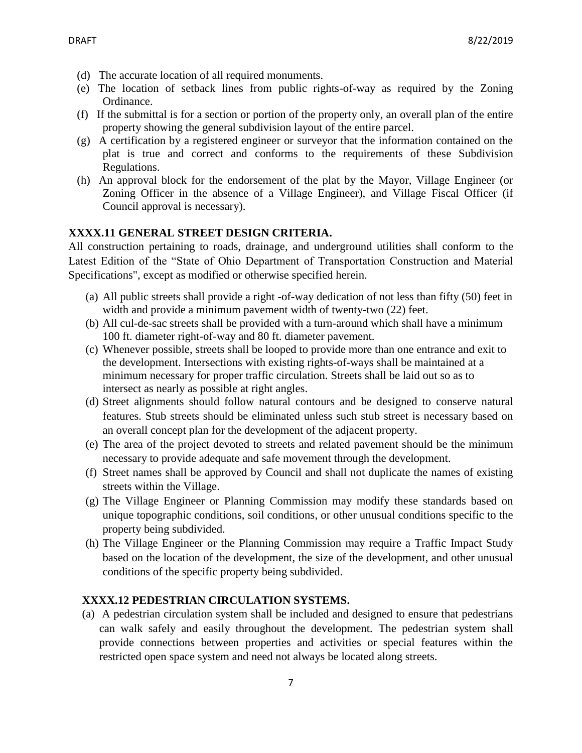- (d) The accurate location of all required monuments.
- (e) The location of setback lines from public rights-of-way as required by the Zoning Ordinance.
- (f) If the submittal is for a section or portion of the property only, an overall plan of the entire property showing the general subdivision layout of the entire parcel.
- (g) A certification by a registered engineer or surveyor that the information contained on the plat is true and correct and conforms to the requirements of these Subdivision Regulations.
- (h) An approval block for the endorsement of the plat by the Mayor, Village Engineer (or Zoning Officer in the absence of a Village Engineer), and Village Fiscal Officer (if Council approval is necessary).

# **XXXX.11 GENERAL STREET DESIGN CRITERIA.**

All construction pertaining to roads, drainage, and underground utilities shall conform to the Latest Edition of the "State of Ohio Department of Transportation Construction and Material Specifications", except as modified or otherwise specified herein.

- (a) All public streets shall provide a right -of-way dedication of not less than fifty (50) feet in width and provide a minimum pavement width of twenty-two (22) feet.
- (b) All cul-de-sac streets shall be provided with a turn-around which shall have a minimum 100 ft. diameter right-of-way and 80 ft. diameter pavement.
- (c) Whenever possible, streets shall be looped to provide more than one entrance and exit to the development. Intersections with existing rights-of-ways shall be maintained at a minimum necessary for proper traffic circulation. Streets shall be laid out so as to intersect as nearly as possible at right angles.
- (d) Street alignments should follow natural contours and be designed to conserve natural features. Stub streets should be eliminated unless such stub street is necessary based on an overall concept plan for the development of the adjacent property.
- (e) The area of the project devoted to streets and related pavement should be the minimum necessary to provide adequate and safe movement through the development.
- (f) Street names shall be approved by Council and shall not duplicate the names of existing streets within the Village.
- (g) The Village Engineer or Planning Commission may modify these standards based on unique topographic conditions, soil conditions, or other unusual conditions specific to the property being subdivided.
- (h) The Village Engineer or the Planning Commission may require a Traffic Impact Study based on the location of the development, the size of the development, and other unusual conditions of the specific property being subdivided.

# **XXXX.12 PEDESTRIAN CIRCULATION SYSTEMS.**

(a) A pedestrian circulation system shall be included and designed to ensure that pedestrians can walk safely and easily throughout the development. The pedestrian system shall provide connections between properties and activities or special features within the restricted open space system and need not always be located along streets.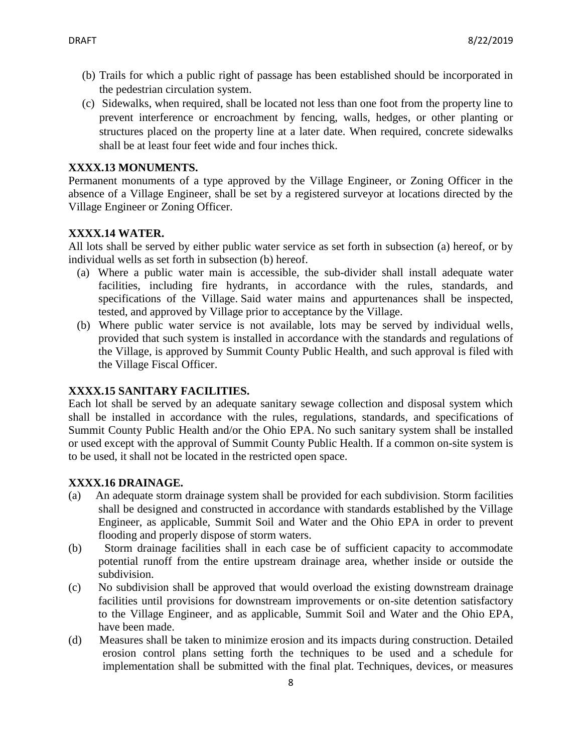- (b) Trails for which a public right of passage has been established should be incorporated in the pedestrian circulation system.
- (c) Sidewalks, when required, shall be located not less than one foot from the property line to prevent interference or encroachment by fencing, walls, hedges, or other planting or structures placed on the property line at a later date. When required, concrete sidewalks shall be at least four feet wide and four inches thick.

# **XXXX.13 MONUMENTS.**

Permanent monuments of a type approved by the Village Engineer, or Zoning Officer in the absence of a Village Engineer, shall be set by a registered surveyor at locations directed by the Village Engineer or Zoning Officer.

# **XXXX.14 WATER.**

All lots shall be served by either public water service as set forth in subsection (a) hereof, or by individual wells as set forth in subsection (b) hereof.

- (a) Where a public water main is accessible, the sub-divider shall install adequate water facilities, including fire hydrants, in accordance with the rules, standards, and specifications of the Village. Said water mains and appurtenances shall be inspected, tested, and approved by Village prior to acceptance by the Village.
- (b) Where public water service is not available, lots may be served by individual wells, provided that such system is installed in accordance with the standards and regulations of the Village, is approved by Summit County Public Health, and such approval is filed with the Village Fiscal Officer.

# **XXXX.15 SANITARY FACILITIES.**

Each lot shall be served by an adequate sanitary sewage collection and disposal system which shall be installed in accordance with the rules, regulations, standards, and specifications of Summit County Public Health and/or the Ohio EPA. No such sanitary system shall be installed or used except with the approval of Summit County Public Health. If a common on-site system is to be used, it shall not be located in the restricted open space.

# **XXXX.16 DRAINAGE.**

- (a) An adequate storm drainage system shall be provided for each subdivision. Storm facilities shall be designed and constructed in accordance with standards established by the Village Engineer, as applicable, Summit Soil and Water and the Ohio EPA in order to prevent flooding and properly dispose of storm waters.
- (b) Storm drainage facilities shall in each case be of sufficient capacity to accommodate potential runoff from the entire upstream drainage area, whether inside or outside the subdivision.
- (c) No subdivision shall be approved that would overload the existing downstream drainage facilities until provisions for downstream improvements or on-site detention satisfactory to the Village Engineer, and as applicable, Summit Soil and Water and the Ohio EPA, have been made.
- (d) Measures shall be taken to minimize erosion and its impacts during construction. Detailed erosion control plans setting forth the techniques to be used and a schedule for implementation shall be submitted with the final plat. Techniques, devices, or measures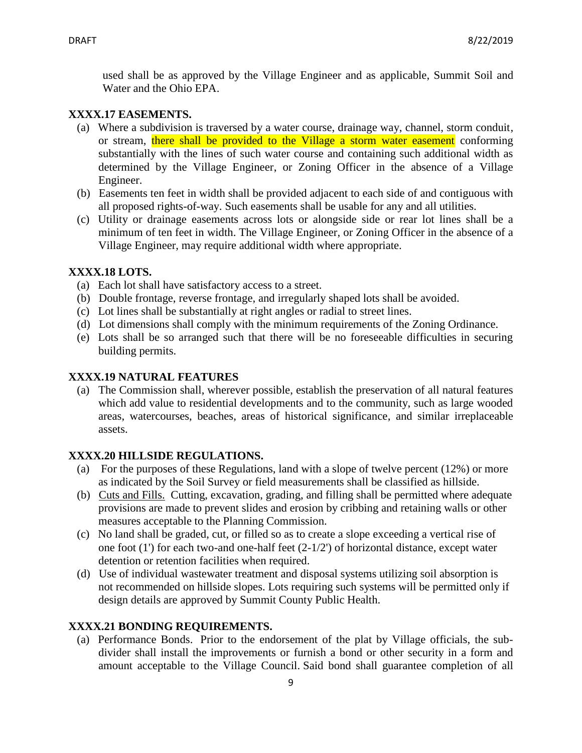used shall be as approved by the Village Engineer and as applicable, Summit Soil and Water and the Ohio EPA.

### **XXXX.17 EASEMENTS.**

- (a) Where a subdivision is traversed by a water course, drainage way, channel, storm conduit, or stream, there shall be provided to the Village a storm water easement conforming substantially with the lines of such water course and containing such additional width as determined by the Village Engineer, or Zoning Officer in the absence of a Village Engineer.
- (b) Easements ten feet in width shall be provided adjacent to each side of and contiguous with all proposed rights-of-way. Such easements shall be usable for any and all utilities.
- (c) Utility or drainage easements across lots or alongside side or rear lot lines shall be a minimum of ten feet in width. The Village Engineer, or Zoning Officer in the absence of a Village Engineer, may require additional width where appropriate.

### **XXXX.18 LOTS.**

- (a) Each lot shall have satisfactory access to a street.
- (b) Double frontage, reverse frontage, and irregularly shaped lots shall be avoided.
- (c) Lot lines shall be substantially at right angles or radial to street lines.
- (d) Lot dimensions shall comply with the minimum requirements of the Zoning Ordinance.
- (e) Lots shall be so arranged such that there will be no foreseeable difficulties in securing building permits.

### **XXXX.19 NATURAL FEATURES**

(a) The Commission shall, wherever possible, establish the preservation of all natural features which add value to residential developments and to the community, such as large wooded areas, watercourses, beaches, areas of historical significance, and similar irreplaceable assets.

## **XXXX.20 HILLSIDE REGULATIONS.**

- (a) For the purposes of these Regulations, land with a slope of twelve percent (12%) or more as indicated by the Soil Survey or field measurements shall be classified as hillside.
- (b) Cuts and Fills. Cutting, excavation, grading, and filling shall be permitted where adequate provisions are made to prevent slides and erosion by cribbing and retaining walls or other measures acceptable to the Planning Commission.
- (c) No land shall be graded, cut, or filled so as to create a slope exceeding a vertical rise of one foot (1') for each two-and one-half feet (2-1/2') of horizontal distance, except water detention or retention facilities when required.
- (d) Use of individual wastewater treatment and disposal systems utilizing soil absorption is not recommended on hillside slopes. Lots requiring such systems will be permitted only if design details are approved by Summit County Public Health.

#### **XXXX.21 BONDING REQUIREMENTS.**

 (a) Performance Bonds. Prior to the endorsement of the plat by Village officials, the subdivider shall install the improvements or furnish a bond or other security in a form and amount acceptable to the Village Council. Said bond shall guarantee completion of all